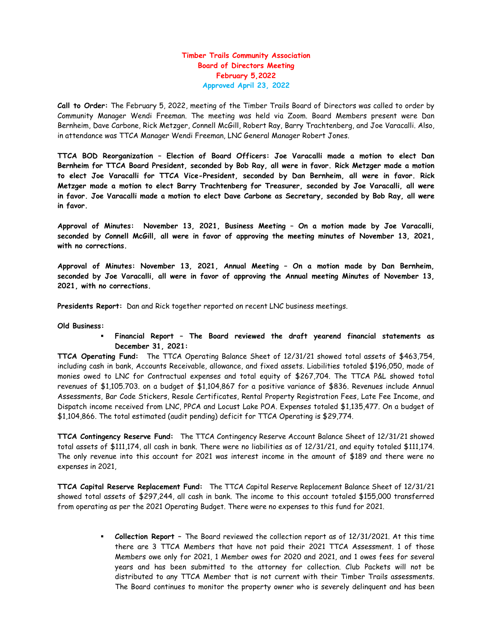## Timber Trails Community Association Board of Directors Meeting February 5,2022 Approved April 23, 2022

Call to Order: The February 5, 2022, meeting of the Timber Trails Board of Directors was called to order by Community Manager Wendi Freeman. The meeting was held via Zoom. Board Members present were Dan Bernheim, Dave Carbone, Rick Metzger, Connell McGill, Robert Ray, Barry Trachtenberg, and Joe Varacalli. Also, in attendance was TTCA Manager Wendi Freeman, LNC General Manager Robert Jones.

TTCA BOD Reorganization – Election of Board Officers: Joe Varacalli made a motion to elect Dan Bernheim for TTCA Board President, seconded by Bob Ray, all were in favor. Rick Metzger made a motion to elect Joe Varacalli for TTCA Vice-President, seconded by Dan Bernheim, all were in favor. Rick Metzger made a motion to elect Barry Trachtenberg for Treasurer, seconded by Joe Varacalli, all were in favor. Joe Varacalli made a motion to elect Dave Carbone as Secretary, seconded by Bob Ray, all were in favor.

Approval of Minutes: November 13, 2021, Business Meeting – On a motion made by Joe Varacalli, seconded by Connell McGill, all were in favor of approving the meeting minutes of November 13, 2021, with no corrections.

Approval of Minutes: November 13, 2021, Annual Meeting – On a motion made by Dan Bernheim, seconded by Joe Varacalli, all were in favor of approving the Annual meeting Minutes of November 13, 2021, with no corrections.

Presidents Report: Dan and Rick together reported on recent LNC business meetings.

## Old Business:

 Financial Report – The Board reviewed the draft yearend financial statements as December 31, 2021:

TTCA Operating Fund: The TTCA Operating Balance Sheet of 12/31/21 showed total assets of \$463,754, including cash in bank, Accounts Receivable, allowance, and fixed assets. Liabilities totaled \$196,050, made of monies owed to LNC for Contractual expenses and total equity of \$267,704. The TTCA P&L showed total revenues of \$1,105.703. on a budget of \$1,104,867 for a positive variance of \$836. Revenues include Annual Assessments, Bar Code Stickers, Resale Certificates, Rental Property Registration Fees, Late Fee Income, and Dispatch income received from LNC, PPCA and Locust Lake POA. Expenses totaled \$1,135,477. On a budget of \$1,104,866. The total estimated (audit pending) deficit for TTCA Operating is \$29,774.

TTCA Contingency Reserve Fund: The TTCA Contingency Reserve Account Balance Sheet of 12/31/21 showed total assets of \$111,174, all cash in bank. There were no liabilities as of 12/31/21, and equity totaled \$111,174. The only revenue into this account for 2021 was interest income in the amount of \$189 and there were no expenses in 2021,

TTCA Capital Reserve Replacement Fund: The TTCA Capital Reserve Replacement Balance Sheet of 12/31/21 showed total assets of \$297,244, all cash in bank. The income to this account totaled \$155,000 transferred from operating as per the 2021 Operating Budget. There were no expenses to this fund for 2021.

> Collection Report – The Board reviewed the collection report as of 12/31/2021. At this time there are 3 TTCA Members that have not paid their 2021 TTCA Assessment. 1 of those Members owe only for 2021, 1 Member owes for 2020 and 2021, and 1 owes fees for several years and has been submitted to the attorney for collection. Club Packets will not be distributed to any TTCA Member that is not current with their Timber Trails assessments. The Board continues to monitor the property owner who is severely delinquent and has been